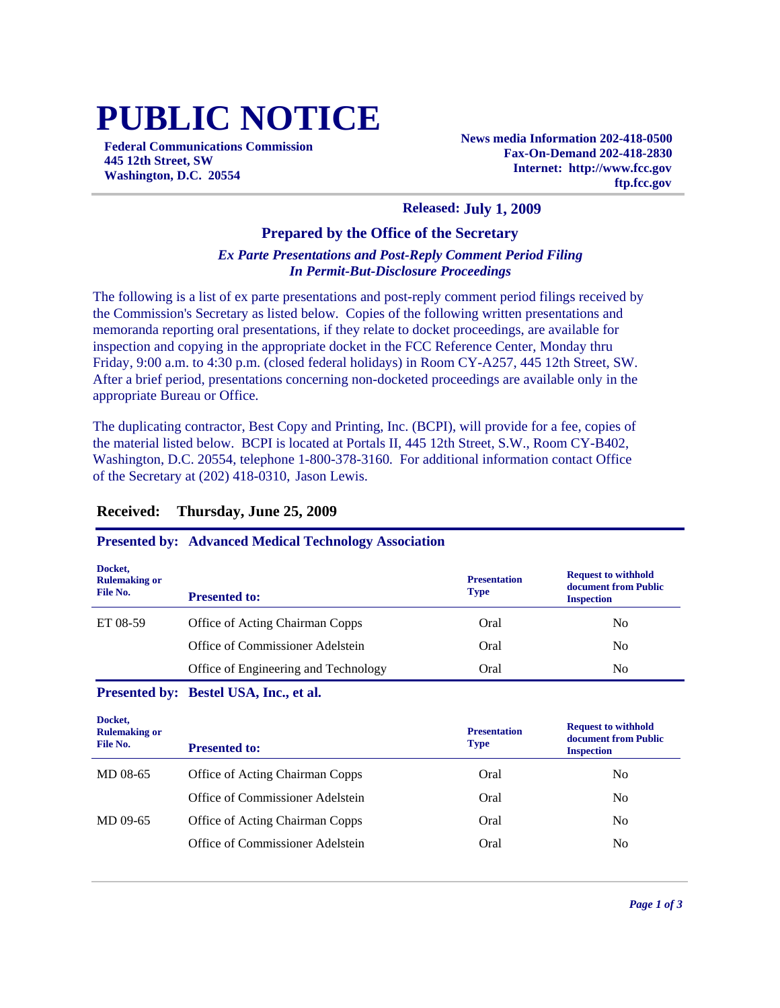# **PUBLIC NOTICE**

**Federal Communications Commission 445 12th Street, SW Washington, D.C. 20554**

**News media Information 202-418-0500 Fax-On-Demand 202-418-2830 Internet: http://www.fcc.gov ftp.fcc.gov**

#### **Released: July 1, 2009**

#### **Prepared by the Office of the Secretary**

### *Ex Parte Presentations and Post-Reply Comment Period Filing In Permit-But-Disclosure Proceedings*

The following is a list of ex parte presentations and post-reply comment period filings received by the Commission's Secretary as listed below. Copies of the following written presentations and memoranda reporting oral presentations, if they relate to docket proceedings, are available for inspection and copying in the appropriate docket in the FCC Reference Center, Monday thru Friday, 9:00 a.m. to 4:30 p.m. (closed federal holidays) in Room CY-A257, 445 12th Street, SW. After a brief period, presentations concerning non-docketed proceedings are available only in the appropriate Bureau or Office.

The duplicating contractor, Best Copy and Printing, Inc. (BCPI), will provide for a fee, copies of the material listed below. BCPI is located at Portals II, 445 12th Street, S.W., Room CY-B402, Washington, D.C. 20554, telephone 1-800-378-3160. For additional information contact Office of the Secretary at (202) 418-0310, Jason Lewis.

#### **Received: Thursday, June 25, 2009**

#### **Presented by: Advanced Medical Technology Association**

| Docket,<br><b>Rulemaking or</b><br>File No. | <b>Presented to:</b>                 | <b>Presentation</b><br><b>Type</b> | <b>Request to withhold</b><br>document from Public<br><b>Inspection</b> |
|---------------------------------------------|--------------------------------------|------------------------------------|-------------------------------------------------------------------------|
| ET 08-59                                    | Office of Acting Chairman Copps      | Oral                               | No                                                                      |
|                                             | Office of Commissioner Adelstein     | Oral                               | No                                                                      |
|                                             | Office of Engineering and Technology | Oral                               | N <sub>0</sub>                                                          |

#### **Presented by: Bestel USA, Inc., et al.**

| Docket,<br><b>Rulemaking or</b><br>File No. | <b>Presented to:</b>             | <b>Presentation</b><br><b>Type</b> | <b>Request to withhold</b><br>document from Public<br><b>Inspection</b> |
|---------------------------------------------|----------------------------------|------------------------------------|-------------------------------------------------------------------------|
| MD 08-65                                    | Office of Acting Chairman Copps  | Oral                               | No                                                                      |
|                                             | Office of Commissioner Adelstein | Oral                               | N <sub>0</sub>                                                          |
| MD 09-65                                    | Office of Acting Chairman Copps  | Oral                               | N <sub>0</sub>                                                          |
|                                             | Office of Commissioner Adelstein | Oral                               | N <sub>0</sub>                                                          |
|                                             |                                  |                                    |                                                                         |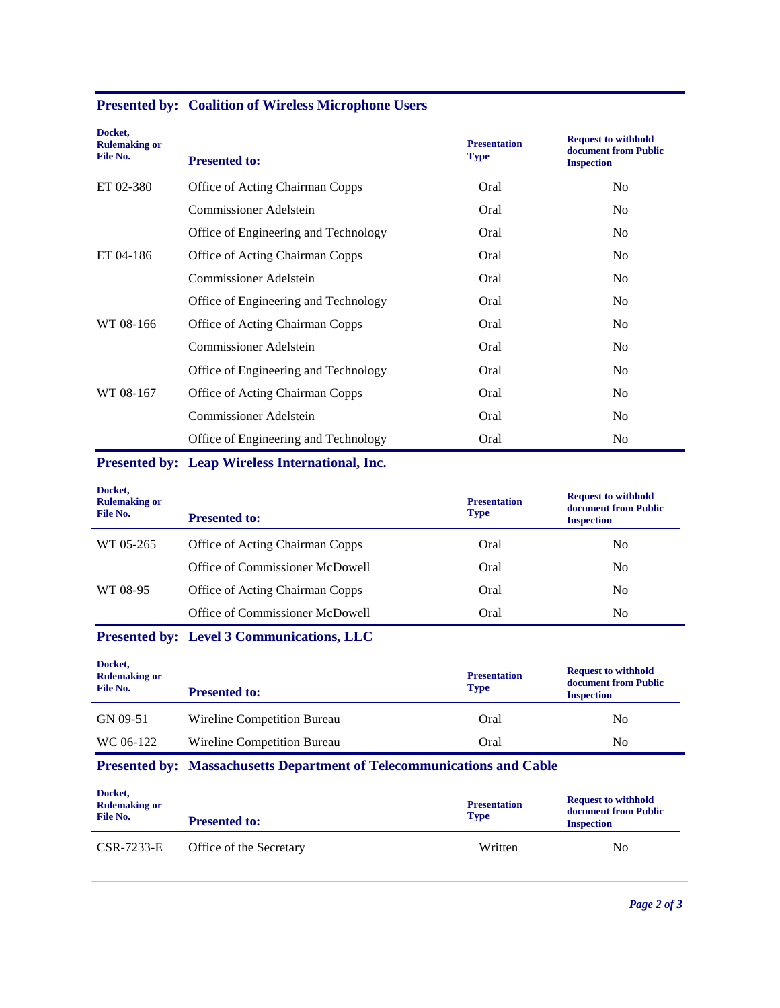| Docket,<br><b>Rulemaking or</b><br>File No. | <b>Presented to:</b>                   | <b>Presentation</b><br><b>Type</b> | <b>Request to withhold</b><br>document from Public<br><b>Inspection</b> |
|---------------------------------------------|----------------------------------------|------------------------------------|-------------------------------------------------------------------------|
| ET 02-380                                   | <b>Office of Acting Chairman Copps</b> | Oral                               | N <sub>0</sub>                                                          |
|                                             | Commissioner Adelstein                 | Oral                               | N <sub>0</sub>                                                          |
|                                             | Office of Engineering and Technology   | Oral                               | N <sub>0</sub>                                                          |
| ET 04-186                                   | Office of Acting Chairman Copps        | Oral                               | N <sub>0</sub>                                                          |
|                                             | Commissioner Adelstein                 | Oral                               | N <sub>0</sub>                                                          |
|                                             | Office of Engineering and Technology   | Oral                               | N <sub>0</sub>                                                          |
| WT 08-166                                   | Office of Acting Chairman Copps        | Oral                               | N <sub>0</sub>                                                          |
|                                             | <b>Commissioner Adelstein</b>          | Oral                               | N <sub>0</sub>                                                          |
|                                             | Office of Engineering and Technology   | Oral                               | N <sub>0</sub>                                                          |
| WT 08-167                                   | Office of Acting Chairman Copps        | Oral                               | N <sub>0</sub>                                                          |
|                                             | Commissioner Adelstein                 | Oral                               | N <sub>0</sub>                                                          |
|                                             | Office of Engineering and Technology   | Oral                               | N <sub>0</sub>                                                          |

**Presented by: Coalition of Wireless Microphone Users**

## **Presented by: Leap Wireless International, Inc.**

| Docket,<br><b>Rulemaking or</b><br>File No. | <b>Presented to:</b>                   | <b>Presentation</b><br><b>Type</b> | <b>Request to withhold</b><br>document from Public<br><b>Inspection</b> |
|---------------------------------------------|----------------------------------------|------------------------------------|-------------------------------------------------------------------------|
| WT 05-265                                   | <b>Office of Acting Chairman Copps</b> | Oral                               | No                                                                      |
|                                             | Office of Commissioner McDowell        | Oral                               | No                                                                      |
| WT 08-95                                    | Office of Acting Chairman Copps        | Oral                               | N <sub>0</sub>                                                          |
|                                             | Office of Commissioner McDowell        | Oral                               | No.                                                                     |

## **Presented by: Level 3 Communications, LLC**

| Docket,<br><b>Rulemaking or</b><br>File No. | <b>Presented to:</b>        | <b>Presentation</b><br><b>Type</b> | <b>Request to withhold</b><br>document from Public<br><b>Inspection</b> |
|---------------------------------------------|-----------------------------|------------------------------------|-------------------------------------------------------------------------|
| GN 09-51                                    | Wireline Competition Bureau | Oral                               | No                                                                      |
| WC 06-122                                   | Wireline Competition Bureau | Oral                               | No                                                                      |

# **Presented by: Massachusetts Department of Telecommunications and Cable**

| Docket,<br><b>Rulemaking or</b><br>File No. | <b>Presented to:</b>    | <b>Presentation</b><br><b>Type</b> | <b>Request to withhold</b><br>document from Public<br><b>Inspection</b> |
|---------------------------------------------|-------------------------|------------------------------------|-------------------------------------------------------------------------|
| $CSR-7233-E$                                | Office of the Secretary | Written                            | No                                                                      |